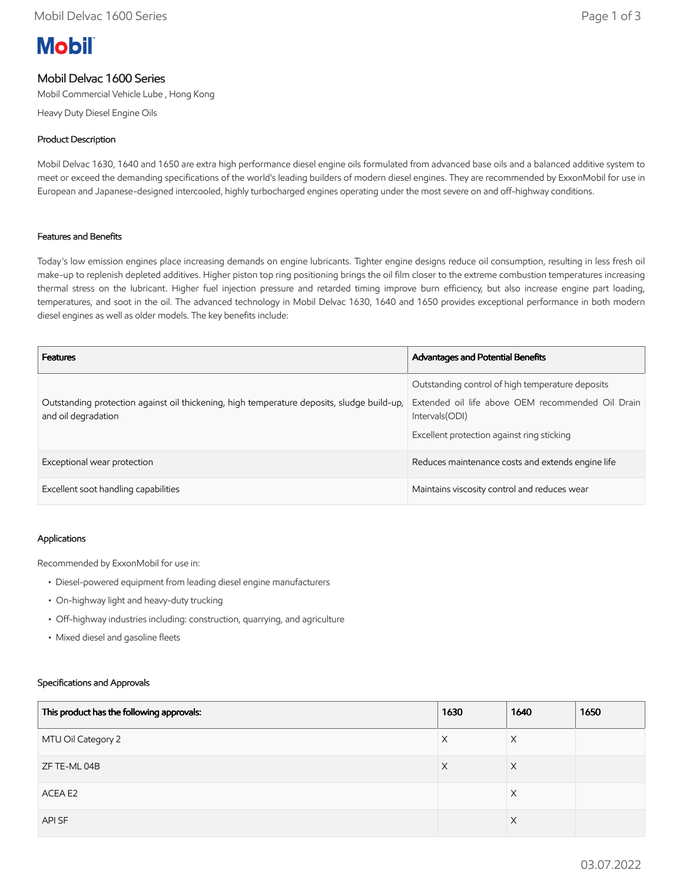# **Mobil**

# Mobil Delvac 1600 Series

Mobil Commercial Vehicle Lube , Hong Kong

Heavy Duty Diesel Engine Oils

## Product Description

Mobil Delvac 1630, 1640 and 1650 are extra high performance diesel engine oils formulated from advanced base oils and a balanced additive system to meet or exceed the demanding specifications of the world's leading builders of modern diesel engines. They are recommended by ExxonMobil for use in European and Japanese-designed intercooled, highly turbocharged engines operating under the most severe on and off-highway conditions.

#### Features and Benefits

Today's low emission engines place increasing demands on engine lubricants. Tighter engine designs reduce oil consumption, resulting in less fresh oil make-up to replenish depleted additives. Higher piston top ring positioning brings the oil film closer to the extreme combustion temperatures increasing thermal stress on the lubricant. Higher fuel injection pressure and retarded timing improve burn efficiency, but also increase engine part loading, temperatures, and soot in the oil. The advanced technology in Mobil Delvac 1630, 1640 and 1650 provides exceptional performance in both modern diesel engines as well as older models. The key benefits include:

| <b>Features</b>                                                                                                   | Advantages and Potential Benefits                                                                                                                                      |
|-------------------------------------------------------------------------------------------------------------------|------------------------------------------------------------------------------------------------------------------------------------------------------------------------|
| Outstanding protection against oil thickening, high temperature deposits, sludge build-up,<br>and oil degradation | Outstanding control of high temperature deposits<br>Extended oil life above OEM recommended Oil Drain<br>Intervals (ODI)<br>Excellent protection against ring sticking |
| Exceptional wear protection                                                                                       | Reduces maintenance costs and extends engine life                                                                                                                      |
| Excellent soot handling capabilities                                                                              | Maintains viscosity control and reduces wear                                                                                                                           |

#### Applications

Recommended by ExxonMobil for use in:

- Diesel-powered equipment from leading diesel engine manufacturers
- On-highway light and heavy-duty trucking
- Off-highway industries including: construction, quarrying, and agriculture
- Mixed diesel and gasoline fleets

#### Specifications and Approvals

| This product has the following approvals: | 1630 | 1640     | 1650 |
|-------------------------------------------|------|----------|------|
| MTU Oil Category 2                        | X    | $\times$ |      |
| ZF TE-ML 04B                              | X    | X        |      |
| ACEA E2                                   |      | X        |      |
| API SF                                    |      | $\times$ |      |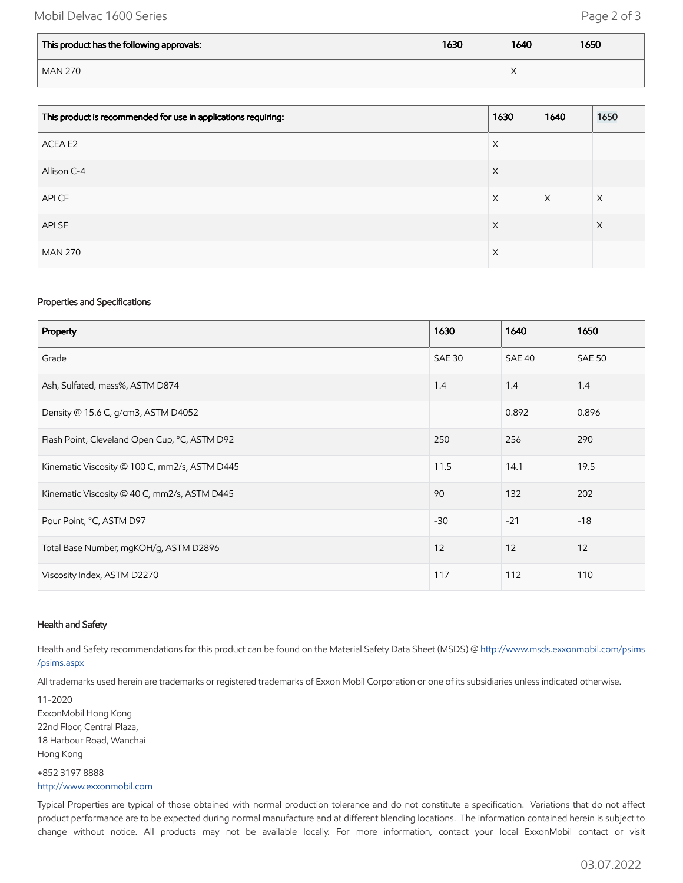## Mobil Delvac 1600 Series **Page 2 of 3**

| This product has the following approvals: | 1630 | 1640               | 1650 |
|-------------------------------------------|------|--------------------|------|
| <b>MAN 270</b>                            |      | $\curvearrowright$ |      |

| This product is recommended for use in applications requiring: | 1630 | 1640     | 1650     |
|----------------------------------------------------------------|------|----------|----------|
| ACEA E2                                                        | X    |          |          |
| Allison C-4                                                    | X    |          |          |
| API CF                                                         | X    | $\times$ | $\times$ |
| API SF                                                         | X    |          | $\times$ |
| <b>MAN 270</b>                                                 | X    |          |          |

#### Properties and Specifications

| Property                                      | 1630          | 1640   | 1650          |
|-----------------------------------------------|---------------|--------|---------------|
| Grade                                         | <b>SAE 30</b> | SAE 40 | <b>SAE 50</b> |
| Ash, Sulfated, mass%, ASTM D874               | 1.4           | 1.4    | 1.4           |
| Density @ 15.6 C, g/cm3, ASTM D4052           |               | 0.892  | 0.896         |
| Flash Point, Cleveland Open Cup, °C, ASTM D92 | 250           | 256    | 290           |
| Kinematic Viscosity @ 100 C, mm2/s, ASTM D445 | 11.5          | 14.1   | 19.5          |
| Kinematic Viscosity @ 40 C, mm2/s, ASTM D445  | 90            | 132    | 202           |
| Pour Point, °C, ASTM D97                      | $-30$         | $-21$  | $-18$         |
| Total Base Number, mgKOH/g, ASTM D2896        | 12            | 12     | 12            |
| Viscosity Index, ASTM D2270                   | 117           | 112    | 110           |

#### Health and Safety

Health and Safety recommendations for this product can be found on the Material Safety Data Sheet (MSDS) @ [http://www.msds.exxonmobil.com/psims](http://www.msds.exxonmobil.com/psims/psims.aspx) /psims.aspx

All trademarks used herein are trademarks or registered trademarks of Exxon Mobil Corporation or one of its subsidiaries unless indicated otherwise.

11-2020 ExxonMobil Hong Kong 22nd Floor, Central Plaza, 18 Harbour Road, Wanchai Hong Kong +852 3197 8888

## [http://www.exxonmobil.com](http://www.exxonmobil.com/)

Typical Properties are typical of those obtained with normal production tolerance and do not constitute a specification. Variations that do not affect product performance are to be expected during normal manufacture and at different blending locations. The information contained herein is subject to change without notice. All products may not be available locally. For more information, contact your local ExxonMobil contact or visit